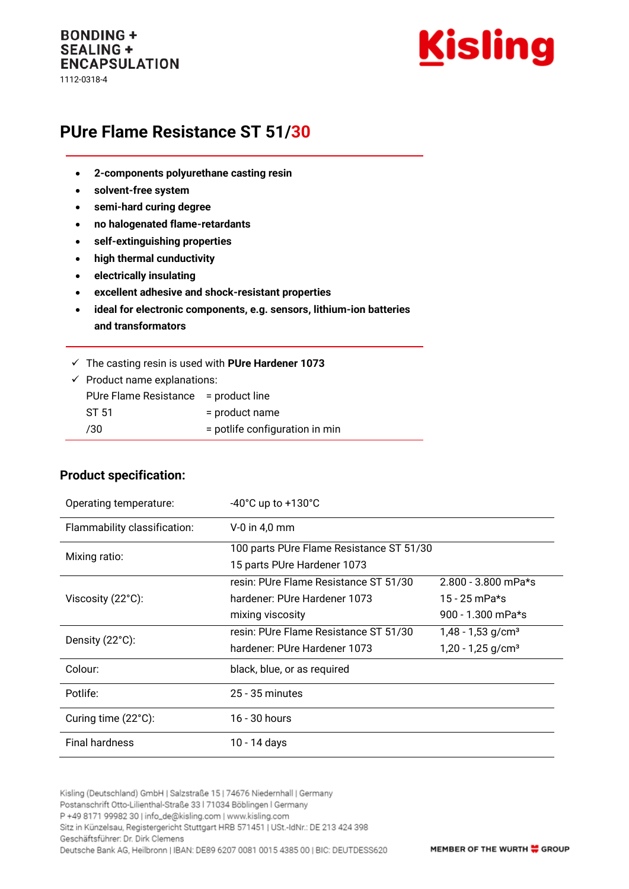#### **BONDING + SEALING + ENCAPSULATION** 1112-0318-4



# **PUre Flame Resistance ST 51/30**

- **2-components polyurethane casting resin**
- **solvent-free system**
- **semi-hard curing degree**
- **no halogenated flame-retardants**
- **self-extinguishing properties**
- **high thermal cunductivity**
- **electrically insulating**
- **excellent adhesive and shock-resistant properties**
- **ideal for electronic components, e.g. sensors, lithium-ion batteries and transformators**
- ✓ The casting resin is used with **PUre Hardener 1073**

| $\checkmark$ Product name explanations: |                                |
|-----------------------------------------|--------------------------------|
| PUre Flame Resistance = product line    |                                |
| ST 51                                   | = product name                 |
| 730                                     | = potlife configuration in min |
|                                         |                                |

#### **Product specification:**

| Operating temperature:       | $-40^{\circ}$ C up to $+130^{\circ}$ C   |                                 |
|------------------------------|------------------------------------------|---------------------------------|
| Flammability classification: | $V-0$ in 4,0 mm                          |                                 |
| Mixing ratio:                | 100 parts PUre Flame Resistance ST 51/30 |                                 |
|                              | 15 parts PUre Hardener 1073              |                                 |
| Viscosity (22°C):            | resin: PUre Flame Resistance ST 51/30    | $2.800 - 3.800$ mPa*s           |
|                              | hardener: PUre Hardener 1073             | 15 - 25 mPa*s                   |
|                              | mixing viscosity                         | 900 - 1.300 mPa*s               |
| Density (22°C):              | resin: PUre Flame Resistance ST 51/30    | $1,48 - 1,53$ g/cm <sup>3</sup> |
|                              | hardener: PUre Hardener 1073             | $1,20 - 1,25$ g/cm <sup>3</sup> |
| Colour:                      | black, blue, or as required              |                                 |
| Potlife:                     | $25 - 35$ minutes                        |                                 |
| Curing time (22°C):          | 16 - 30 hours                            |                                 |
| <b>Final hardness</b>        | 10 - 14 days                             |                                 |

Kisling (Deutschland) GmbH | Salzstraße 15 | 74676 Niedernhall | Germany Postanschrift Otto-Lilienthal-Straße 33 | 71034 Böblingen | Germany P +49 8171 99982 30 | info\_de@kisling.com | www.kisling.com Sitz in Künzelsau, Registergericht Stuttgart HRB 571451 | USt.-IdNr.: DE 213 424 398 Geschäftsführer: Dr. Dirk Clemens Deutsche Bank AG, Heilbronn | IBAN: DE89 6207 0081 0015 4385 00 | BIC: DEUTDESS620